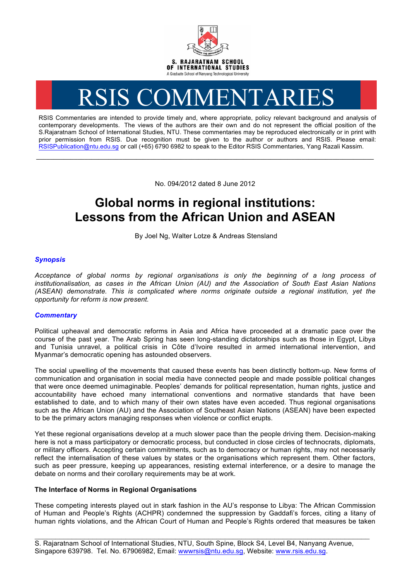

# RSIS COMMENTARIES

RSIS Commentaries are intended to provide timely and, where appropriate, policy relevant background and analysis of contemporary developments. The views of the authors are their own and do not represent the official position of the S.Rajaratnam School of International Studies, NTU. These commentaries may be reproduced electronically or in print with prior permission from RSIS. Due recognition must be given to the author or authors and RSIS. Please email: RSISPublication@ntu.edu.sg or call (+65) 6790 6982 to speak to the Editor RSIS Commentaries, Yang Razali Kassim.

No. 094/2012 dated 8 June 2012

**\_\_\_\_\_\_\_\_\_\_\_\_\_\_\_\_\_\_\_\_\_\_\_\_\_\_\_\_\_\_\_\_\_\_\_\_\_\_\_\_\_\_\_\_\_\_\_\_\_\_\_\_\_\_\_\_\_\_\_\_\_\_\_\_\_\_\_\_\_\_\_\_\_\_\_\_\_\_\_\_\_\_\_\_\_\_\_\_\_\_\_\_\_\_\_\_\_\_**

## **Global norms in regional institutions: Lessons from the African Union and ASEAN**

By Joel Ng, Walter Lotze & Andreas Stensland

### *Synopsis*

*Acceptance of global norms by regional organisations is only the beginning of a long process of institutionalisation, as cases in the African Union (AU) and the Association of South East Asian Nations (ASEAN) demonstrate. This is complicated where norms originate outside a regional institution, yet the opportunity for reform is now present.*

#### *Commentary*

Political upheaval and democratic reforms in Asia and Africa have proceeded at a dramatic pace over the course of the past year. The Arab Spring has seen long-standing dictatorships such as those in Egypt, Libya and Tunisia unravel, a political crisis in Côte d'Ivoire resulted in armed international intervention, and Myanmar's democratic opening has astounded observers.

The social upwelling of the movements that caused these events has been distinctly bottom-up. New forms of communication and organisation in social media have connected people and made possible political changes that were once deemed unimaginable. Peoples' demands for political representation, human rights, justice and accountability have echoed many international conventions and normative standards that have been established to date, and to which many of their own states have even acceded. Thus regional organisations such as the African Union (AU) and the Association of Southeast Asian Nations (ASEAN) have been expected to be the primary actors managing responses when violence or conflict erupts.

Yet these regional organisations develop at a much slower pace than the people driving them. Decision-making here is not a mass participatory or democratic process, but conducted in close circles of technocrats, diplomats, or military officers. Accepting certain commitments, such as to democracy or human rights, may not necessarily reflect the internalisation of these values by states or the organisations which represent them. Other factors, such as peer pressure, keeping up appearances, resisting external interference, or a desire to manage the debate on norms and their corollary requirements may be at work.

#### **The Interface of Norms in Regional Organisations**

These competing interests played out in stark fashion in the AU's response to Libya: The African Commission of Human and People's Rights (ACHPR) condemned the suppression by Gaddafi's forces, citing a litany of human rights violations, and the African Court of Human and People's Rights ordered that measures be taken